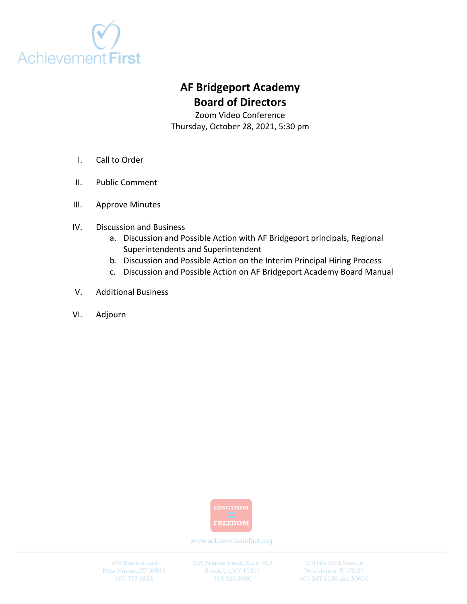

# **AF Bridgeport Academy Board of Directors**

Zoom Video Conference Thursday, October 28, 2021, 5:30 pm

- I. Call to Order
- II. Public Comment
- III. Approve Minutes
- IV. Discussion and Business
	- a. Discussion and Possible Action with AF Bridgeport principals, Regional Superintendents and Superintendent
	- b. Discussion and Possible Action on the Interim Principal Hiring Process
	- c. Discussion and Possible Action on AF Bridgeport Academy Board Manual
- V. Additional Business
- VI. Adjourn



www.achievementfirst.org

495 Blake Street New Haven, CT 06515 335 Adams Street, Suite 700 Brooklyn, NY 11201

370 Hartford Avenue Providence, RI 02909 401 347 1106 ext. 30610